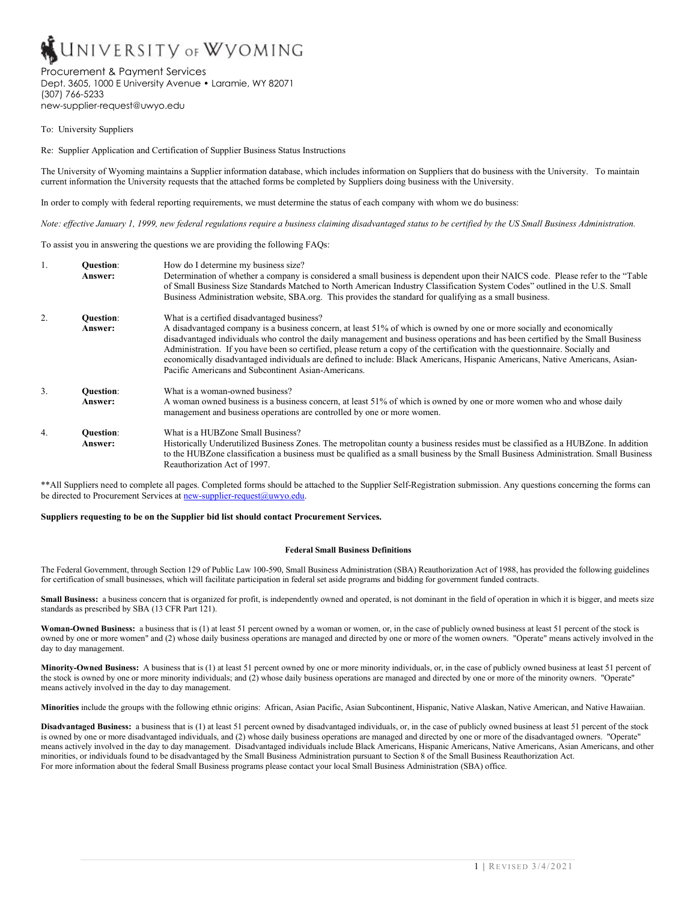# **UNIVERSITY OF WYOMING**

# Procurement & Payment Services

Dept. 3605, 1000 E University Avenue • Laramie, WY 82071 (307) 766-5233 new-supplier-request@uwyo.edu

To: University Suppliers

Re: Supplier Application and Certification of Supplier Business Status Instructions

The University of Wyoming maintains a Supplier information database, which includes information on Suppliers that do business with the University. To maintain current information the University requests that the attached forms be completed by Suppliers doing business with the University.

In order to comply with federal reporting requirements, we must determine the status of each company with whom we do business:

*Note: effective January 1, 1999, new federal regulations require a business claiming disadvantaged status to be certified by the US Small Business Administration.*

To assist you in answering the questions we are providing the following FAQs:

| 1.               | <b>Ouestion:</b><br>Answer:        | How do I determine my business size?<br>Determination of whether a company is considered a small business is dependent upon their NAICS code. Please refer to the "Table"<br>of Small Business Size Standards Matched to North American Industry Classification System Codes" outlined in the U.S. Small<br>Business Administration website, SBA.org. This provides the standard for qualifying as a small business.                                                                                                                                                                                                             |
|------------------|------------------------------------|----------------------------------------------------------------------------------------------------------------------------------------------------------------------------------------------------------------------------------------------------------------------------------------------------------------------------------------------------------------------------------------------------------------------------------------------------------------------------------------------------------------------------------------------------------------------------------------------------------------------------------|
| 2.               | <b>Ouestion:</b><br><b>Answer:</b> | What is a certified disadvantaged business?<br>A disadvantaged company is a business concern, at least 51% of which is owned by one or more socially and economically<br>disadvantaged individuals who control the daily management and business operations and has been certified by the Small Business<br>Administration. If you have been so certified, please return a copy of the certification with the questionnaire. Socially and<br>economically disadvantaged individuals are defined to include: Black Americans, Hispanic Americans, Native Americans, Asian-<br>Pacific Americans and Subcontinent Asian-Americans. |
| $\overline{3}$ . | <b>Ouestion:</b><br>Answer:        | What is a woman-owned business?<br>A woman owned business is a business concern, at least 51% of which is owned by one or more women who and whose daily<br>management and business operations are controlled by one or more women.                                                                                                                                                                                                                                                                                                                                                                                              |
| 4.               | <b>Ouestion:</b><br>Answer:        | What is a HUBZone Small Business?<br>Historically Underutilized Business Zones. The metropolitan county a business resides must be classified as a HUBZone. In addition<br>to the HUBZone classification a business must be qualified as a small business by the Small Business Administration. Small Business<br>Reauthorization Act of 1997.                                                                                                                                                                                                                                                                                   |

\*\*All Suppliers need to complete all pages. Completed forms should be attached to the Supplier Self-Registration submission. Any questions concerning the forms can be directed to Procurement Services at  $new-supplier-request@uwyo.edu$ .

# **Suppliers requesting to be on the Supplier bid list should contact Procurement Services.**

#### **Federal Small Business Definitions**

The Federal Government, through Section 129 of Public Law 100-590, Small Business Administration (SBA) Reauthorization Act of 1988, has provided the following guidelines for certification of small businesses, which will facilitate participation in federal set aside programs and bidding for government funded contracts.

Small Business: a business concern that is organized for profit, is independently owned and operated, is not dominant in the field of operation in which it is bigger, and meets size standards as prescribed by SBA (13 CFR Part 121).

**Woman-Owned Business:** a business that is (1) at least 51 percent owned by a woman or women, or, in the case of publicly owned business at least 51 percent of the stock is owned by one or more women" and (2) whose daily business operations are managed and directed by one or more of the women owners. "Operate" means actively involved in the day to day management.

**Minority-Owned Business:** A business that is (1) at least 51 percent owned by one or more minority individuals, or, in the case of publicly owned business at least 51 percent of the stock is owned by one or more minority individuals; and (2) whose daily business operations are managed and directed by one or more of the minority owners. "Operate" means actively involved in the day to day management.

**Minorities** include the groups with the following ethnic origins: African, Asian Pacific, Asian Subcontinent, Hispanic, Native Alaskan, Native American, and Native Hawaiian.

**Disadvantaged Business:** a business that is (1) at least 51 percent owned by disadvantaged individuals, or, in the case of publicly owned business at least 51 percent of the stock is owned by one or more disadvantaged individuals, and (2) whose daily business operations are managed and directed by one or more of the disadvantaged owners. "Operate" means actively involved in the day to day management. Disadvantaged individuals include Black Americans, Hispanic Americans, Native Americans, Asian Americans, and other minorities, or individuals found to be disadvantaged by the Small Business Administration pursuant to Section 8 of the Small Business Reauthorization Act. For more information about the federal Small Business programs please contact your local Small Business Administration (SBA) office.